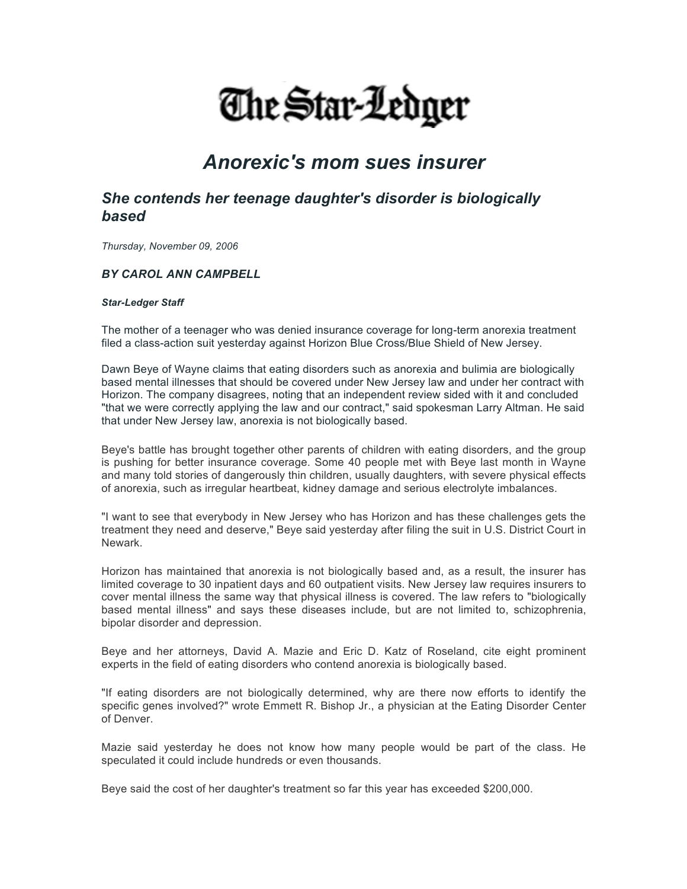# The Star-Ledger

# *Anorexic's mom sues insurer*

## *She contends her teenage daughter's disorder is biologically based*

*Thursday, November 09, 2006* 

### *BY CAROL ANN CAMPBELL*

#### *Star-Ledger Staff*

The mother of a teenager who was denied insurance coverage for long-term anorexia treatment filed a class-action suit yesterday against Horizon Blue Cross/Blue Shield of New Jersey.

Dawn Beye of Wayne claims that eating disorders such as anorexia and bulimia are biologically based mental illnesses that should be covered under New Jersey law and under her contract with Horizon. The company disagrees, noting that an independent review sided with it and concluded "that we were correctly applying the law and our contract," said spokesman Larry Altman. He said that under New Jersey law, anorexia is not biologically based.

Beye's battle has brought together other parents of children with eating disorders, and the group is pushing for better insurance coverage. Some 40 people met with Beye last month in Wayne and many told stories of dangerously thin children, usually daughters, with severe physical effects of anorexia, such as irregular heartbeat, kidney damage and serious electrolyte imbalances.

"I want to see that everybody in New Jersey who has Horizon and has these challenges gets the treatment they need and deserve," Beye said yesterday after filing the suit in U.S. District Court in Newark.

Horizon has maintained that anorexia is not biologically based and, as a result, the insurer has limited coverage to 30 inpatient days and 60 outpatient visits. New Jersey law requires insurers to cover mental illness the same way that physical illness is covered. The law refers to "biologically based mental illness" and says these diseases include, but are not limited to, schizophrenia, bipolar disorder and depression.

Beye and her attorneys, David A. Mazie and Eric D. Katz of Roseland, cite eight prominent experts in the field of eating disorders who contend anorexia is biologically based.

"If eating disorders are not biologically determined, why are there now efforts to identify the specific genes involved?" wrote Emmett R. Bishop Jr., a physician at the Eating Disorder Center of Denver.

Mazie said yesterday he does not know how many people would be part of the class. He speculated it could include hundreds or even thousands.

Beye said the cost of her daughter's treatment so far this year has exceeded \$200,000.